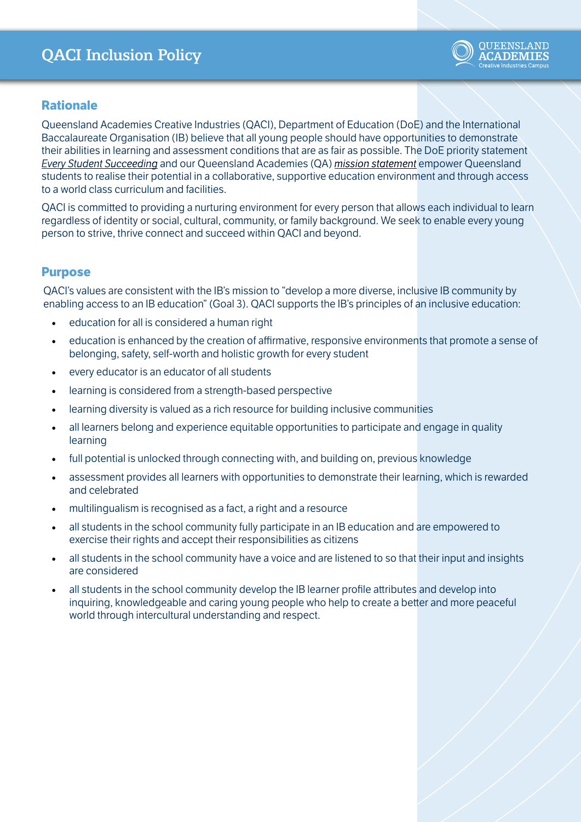# QACI Inclusion Policy



#### **Rationale**

Queensland Academies Creative Industries (QACI), Department of Education (DoE) and the International Baccalaureate Organisation (IB) believe that all young people should have opportunities to demonstrate their abilities in learning and assessment conditions that are as fair as possible. The DoE priority statement *[Every Student Succeeding](https://education.qld.gov.au/curriculums/Documents/state-schools-strategy.pdf)* and our Queensland Academies (QA) *[mission statement](https://qa.eq.edu.au/about-us/mission-and-values)* empower Queensland students to realise their potential in a collaborative, supportive education environment and through access to a world class curriculum and facilities.

QACI is committed to providing a nurturing environment for every person that allows each individual to learn regardless of identity or social, cultural, community, or family background. We seek to enable every young person to strive, thrive connect and succeed within QACI and beyond.

#### **Purpose**

QACI's values are consistent with the IB's mission to "develop a more diverse, inclusive IB community by enabling access to an IB education" (Goal 3). QACI supports the IB's principles of an inclusive education:

- education for all is considered a human right
- education is enhanced by the creation of affirmative, responsive environments that promote a sense of belonging, safety, self-worth and holistic growth for every student
- every educator is an educator of all students
- learning is considered from a strength-based perspective
- learning diversity is valued as a rich resource for building inclusive communities
- all learners belong and experience equitable opportunities to participate and engage in quality learning
- full potential is unlocked through connecting with, and building on, previous knowledge
- assessment provides all learners with opportunities to demonstrate their learning, which is rewarded and celebrated
- multilingualism is recognised as a fact, a right and a resource
- all students in the school community fully participate in an IB education and are empowered to exercise their rights and accept their responsibilities as citizens
- all students in the school community have a voice and are listened to so that their input and insights are considered
- all students in the school community develop the IB learner profile attributes and develop into inquiring, knowledgeable and caring young people who help to create a better and more peaceful world through intercultural understanding and respect.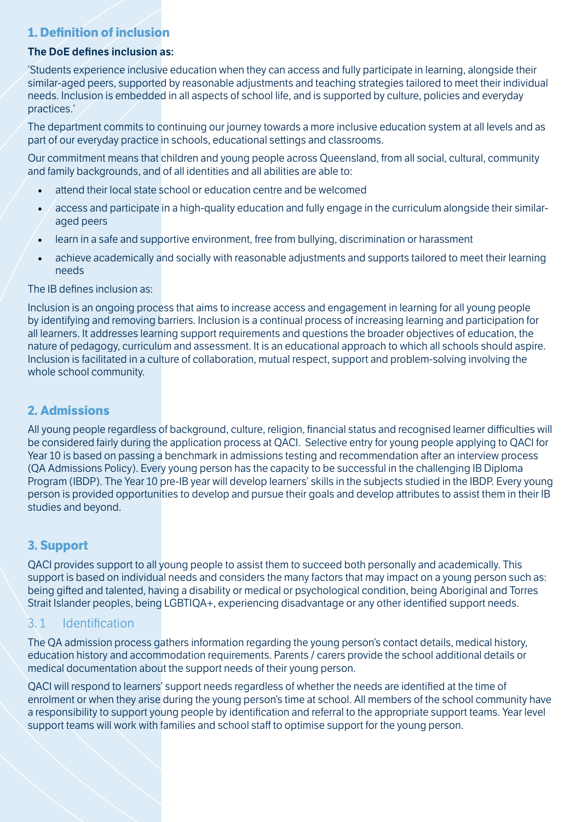# **1. Definition of inclusion**

#### **The DoE defines inclusion as:**

'Students experience inclusive education when they can access and fully participate in learning, alongside their similar-aged peers, supported by reasonable adjustments and teaching strategies tailored to meet their individual needs. Inclusion is embedded in all aspects of school life, and is supported by culture, policies and everyday practices.'

The department commits to continuing our journey towards a more inclusive education system at all levels and as part of our everyday practice in schools, educational settings and classrooms.

Our commitment means that children and young people across Queensland, from all social, cultural, community and family backgrounds, and of all identities and all abilities are able to:

- attend their local state school or education centre and be welcomed
- access and participate in a high-quality education and fully engage in the curriculum alongside their similaraged peers
- learn in a safe and supportive environment, free from bullying, discrimination or harassment
- achieve academically and socially with reasonable adjustments and supports tailored to meet their learning needs

#### The IB defines inclusion as:

Inclusion is an ongoing process that aims to increase access and engagement in learning for all young people by identifying and removing barriers. Inclusion is a continual process of increasing learning and participation for all learners. It addresses learning support requirements and questions the broader objectives of education, the nature of pedagogy, curriculum and assessment. It is an educational approach to which all schools should aspire. Inclusion is facilitated in a culture of collaboration, mutual respect, support and problem-solving involving the whole school community.

### **2. Admissions**

All young people regardless of background, culture, religion, financial status and recognised learner difficulties will be considered fairly during the application process at QACI. Selective entry for young people applying to QACI for Year 10 is based on passing a benchmark in admissions testing and recommendation after an interview process (QA Admissions Policy). Every young person has the capacity to be successful in the challenging IB Diploma Program (IBDP). The Year 10 pre-IB year will develop learners' skills in the subjects studied in the IBDP. Every young person is provided opportunities to develop and pursue their goals and develop attributes to assist them in their IB studies and beyond.

# **3. Support**

QACI provides support to all young people to assist them to succeed both personally and academically. This support is based on individual needs and considers the many factors that may impact on a young person such as: being gifted and talented, having a disability or medical or psychological condition, being Aboriginal and Torres Strait Islander peoples, being LGBTIQA+, experiencing disadvantage or any other identified support needs.

# 3. 1 Identification

The QA admission process gathers information regarding the young person's contact details, medical history, education history and accommodation requirements. Parents / carers provide the school additional details or medical documentation about the support needs of their young person.

QACI will respond to learners' support needs regardless of whether the needs are identified at the time of enrolment or when they arise during the young person's time at school. All members of the school community have a responsibility to support young people by identification and referral to the appropriate support teams. Year level support teams will work with families and school staff to optimise support for the young person.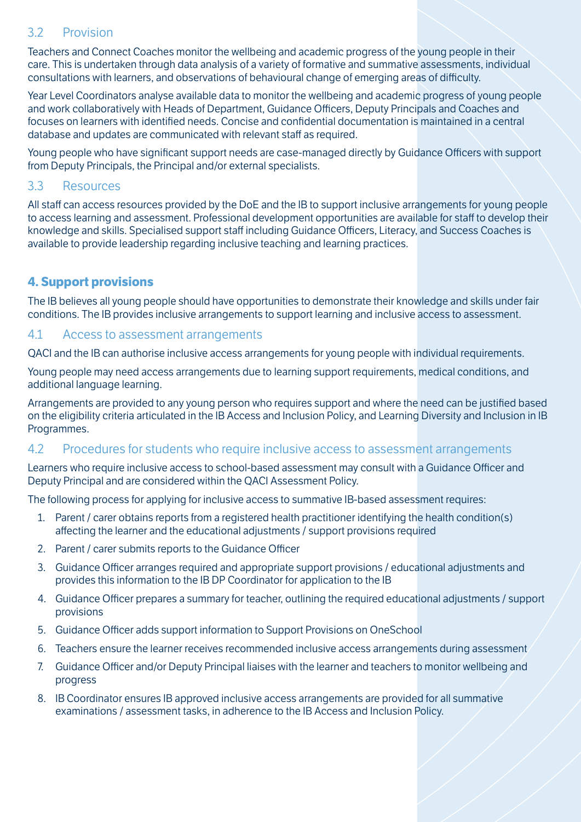### 3.2 Provision

Teachers and Connect Coaches monitor the wellbeing and academic progress of the young people in their care. This is undertaken through data analysis of a variety of formative and summative assessments, individual consultations with learners, and observations of behavioural change of emerging areas of difficulty.

Year Level Coordinators analyse available data to monitor the wellbeing and academic progress of young people and work collaboratively with Heads of Department, Guidance Officers, Deputy Principals and Coaches and focuses on learners with identified needs. Concise and confidential documentation is maintained in a central database and updates are communicated with relevant staff as required.

Young people who have significant support needs are case-managed directly by Guidance Officers with support from Deputy Principals, the Principal and/or external specialists.

### 3.3 Resources

All staff can access resources provided by the DoE and the IB to support inclusive arrangements for young people to access learning and assessment. Professional development opportunities are available for staff to develop their knowledge and skills. Specialised support staff including Guidance Officers, Literacy, and Success Coaches is available to provide leadership regarding inclusive teaching and learning practices.

# **4. Support provisions**

The IB believes all young people should have opportunities to demonstrate their knowledge and skills under fair conditions. The IB provides inclusive arrangements to support learning and inclusive access to assessment.

### 4.1 Access to assessment arrangements

QACI and the IB can authorise inclusive access arrangements for young people with individual requirements.

Young people may need access arrangements due to learning support requirements, medical conditions, and additional language learning.

Arrangements are provided to any young person who requires support and where the need can be justified based on the eligibility criteria articulated in the IB Access and Inclusion Policy, and Learning Diversity and Inclusion in IB Programmes.

#### 4.2 Procedures for students who require inclusive access to assessment arrangements

Learners who require inclusive access to school-based assessment may consult with a Guidance Officer and Deputy Principal and are considered within the QACI Assessment Policy.

The following process for applying for inclusive access to summative IB-based assessment requires:

- 1. Parent / carer obtains reports from a registered health practitioner identifying the health condition(s) affecting the learner and the educational adjustments / support provisions required
- 2. Parent / carer submits reports to the Guidance Officer
- 3. Guidance Officer arranges required and appropriate support provisions / educational adjustments and provides this information to the IB DP Coordinator for application to the IB
- 4. Guidance Officer prepares a summary for teacher, outlining the required educational adjustments / support provisions
- 5. Guidance Officer adds support information to Support Provisions on OneSchool
- 6. Teachers ensure the learner receives recommended inclusive access arrangements during assessment
- 7. Guidance Officer and/or Deputy Principal liaises with the learner and teachers to monitor wellbeing and progress
- 8. IB Coordinator ensures IB approved inclusive access arrangements are provided for all summative examinations / assessment tasks, in adherence to the IB Access and Inclusion Policy.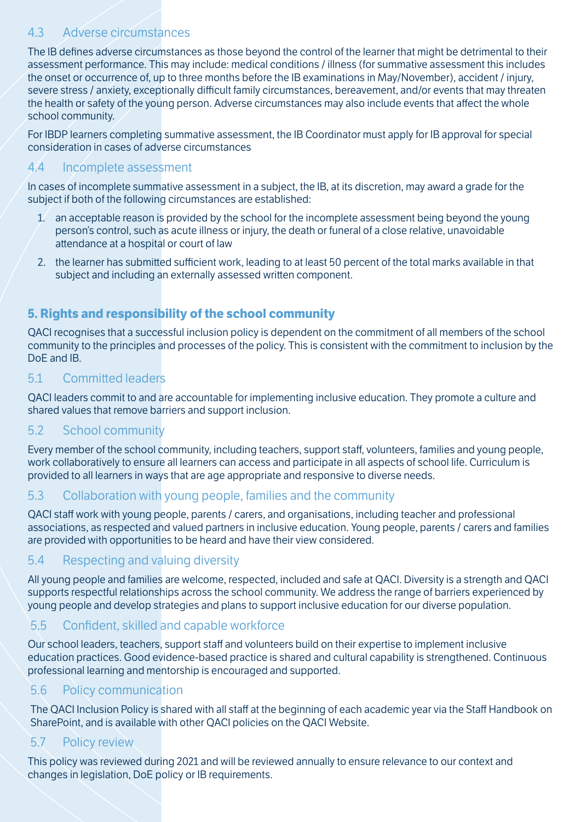# 4.3 Adverse circumstances

The IB defines adverse circumstances as those beyond the control of the learner that might be detrimental to their assessment performance. This may include: medical conditions / illness (for summative assessment this includes the onset or occurrence of, up to three months before the IB examinations in May/November), accident / injury, severe stress / anxiety, exceptionally difficult family circumstances, bereavement, and/or events that may threaten the health or safety of the young person. Adverse circumstances may also include events that affect the whole school community.

For IBDP learners completing summative assessment, the IB Coordinator must apply for IB approval for special consideration in cases of adverse circumstances

# 4.4 Incomplete assessment

In cases of incomplete summative assessment in a subject, the IB, at its discretion, may award a grade for the subject if both of the following circumstances are established:

- 1. an acceptable reason is provided by the school for the incomplete assessment being beyond the young person's control, such as acute illness or injury, the death or funeral of a close relative, unavoidable attendance at a hospital or court of law
- 2. the learner has submitted sufficient work, leading to at least 50 percent of the total marks available in that subject and including an externally assessed written component.

# **5. Rights and responsibility of the school community**

QACI recognises that a successful inclusion policy is dependent on the commitment of all members of the school community to the principles and processes of the policy. This is consistent with the commitment to inclusion by the DoE and IB.

### 5.1 Committed leaders

QACI leaders commit to and are accountable for implementing inclusive education. They promote a culture and shared values that remove barriers and support inclusion.

# 5.2 School community

Every member of the school community, including teachers, support staff, volunteers, families and young people, work collaboratively to ensure all learners can access and participate in all aspects of school life. Curriculum is provided to all learners in ways that are age appropriate and responsive to diverse needs.

### 5.3 Collaboration with young people, families and the community

QACI staff work with young people, parents / carers, and organisations, including teacher and professional associations, as respected and valued partners in inclusive education. Young people, parents / carers and families are provided with opportunities to be heard and have their view considered.

# 5.4 Respecting and valuing diversity

All young people and families are welcome, respected, included and safe at QACI. Diversity is a strength and QACI supports respectful relationships across the school community. We address the range of barriers experienced by young people and develop strategies and plans to support inclusive education for our diverse population.

# 5.5 Confident, skilled and capable workforce

Our school leaders, teachers, support staff and volunteers build on their expertise to implement inclusive education practices. Good evidence-based practice is shared and cultural capability is strengthened. Continuous professional learning and mentorship is encouraged and supported.

### 5.6 Policy communication

The QACI Inclusion Policy is shared with all staff at the beginning of each academic year via the Staff Handbook on SharePoint, and is available with other QACI policies on the QACI Website.

# 5.7 Policy review

This policy was reviewed during 2021 and will be reviewed annually to ensure relevance to our context and changes in legislation, DoE policy or IB requirements.